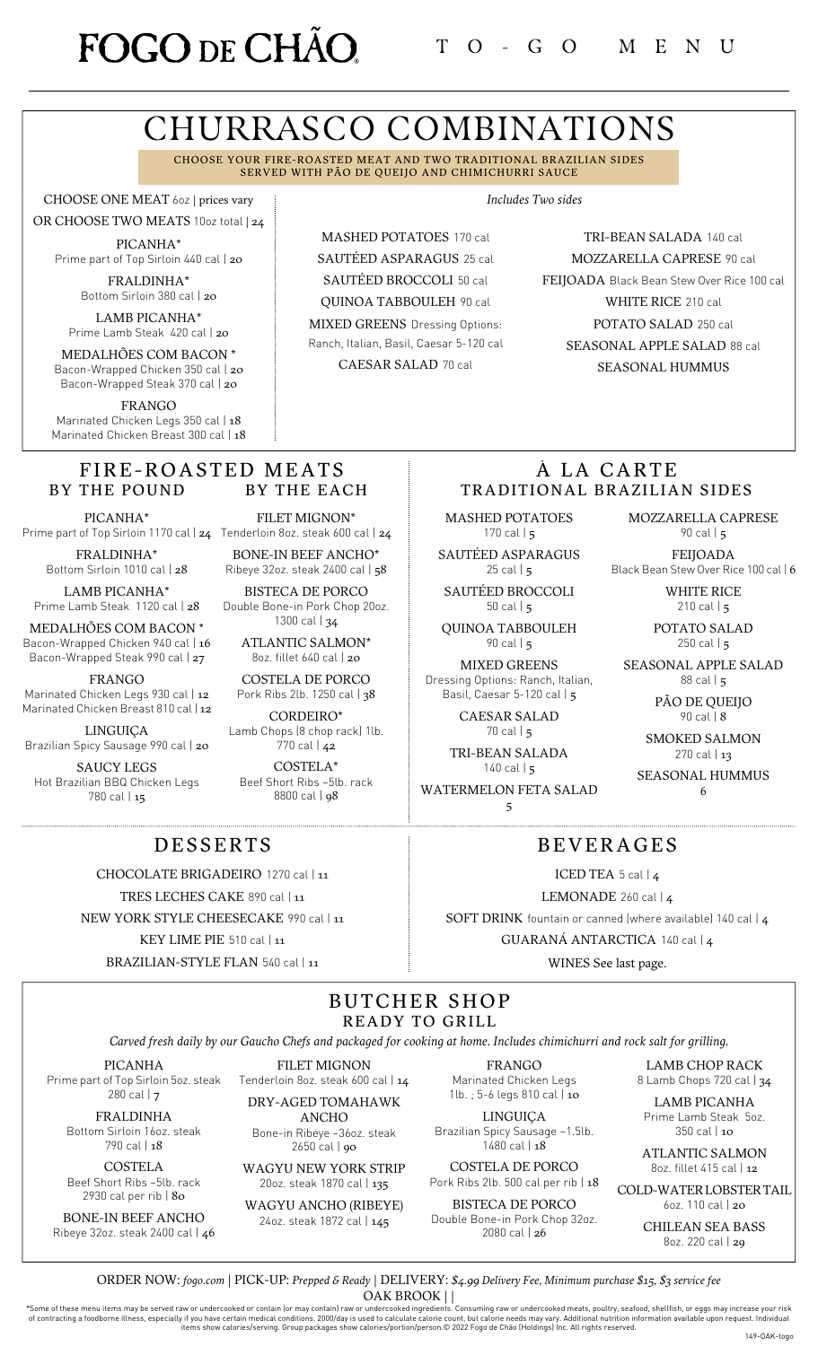# FOGO DE CHÃO

# CHURRASCO COMBINATIONS

CHOOSE YOUR FIRE-ROASTED MEAT AND TWO TRADITIONAL BRAZILIAN SIDES SERVED WITH PÃO DE QUEIJO AND CHIMICHURRI SAUCE

> MASHED POTATOES 170 cal SAUTÉED ASPARAGUS 25 cal SAUTÉED BROCCOLI 50 cal QUINOA TABBOULEH 90 cal MIXED GREENS Dressing Options: Ranch, Italian, Basil, Caesar 5-120 cal CAESAR SALAD 70 cal

CHOOSE ONE MEAT 6oz | prices vary

OR CHOOSE TWO MEATS 10oz total | 24 PICANHA\* Prime part of Top Sirloin 440 cal | 20

> FRALDINHA\* Bottom Sirloin 380 cal | 20

LAMB PICANHA\* Prime Lamb Steak 420 cal | 20

MEDALHÕES COM BACON \* Bacon-Wrapped Chicken 350 cal | 20 Bacon-Wrapped Steak 370 cal | 20

FRANGO Marinated Chicken Legs 350 cal | 18 Marinated Chicken Breast 300 cal | 18

#### FIRE-ROASTED MEATS BY THE POUND BY THE EACH

PICANHA\*

FRALDINHA\* Bottom Sirloin 1010 cal | 28

LAMB PICANHA\* Prime Lamb Steak 1120 cal | 28

MEDALHÕES COM BACON \* Bacon-Wrapped Chicken 940 cal | 16 Bacon-Wrapped Steak 990 cal | 27

FRANGO

Marinated Chicken Legs 930 cal | 12 Marinated Chicken Breast 810 cal | 12

LINGUIÇA Brazilian Spicy Sausage 990 cal | 20

SAUCY LEGS Hot Brazilian BBQ Chicken Legs 780 cal | 15

Prime part of Top Sirloin 1170 cal | **24** Tenderloin 8oz. steak 600 cal | **24** FILET MIGNON\*

BONE-IN BEEF ANCHO\* Ribeye 32oz. steak 2400 cal | 58 BISTECA DE PORCO

Double Bone-in Pork Chop 20oz. 1300 cal | 34

> ATLANTIC SALMON\* 8oz. fillet 640 cal | 20

COSTELA DE PORCO Pork Ribs 2lb. 1250 cal | 38

CORDEIRO\* Lamb Chops (8 chop rack) 1lb. 770 cal | 42

COSTELA\* Beef Short Ribs ~5lb. rack 8800 cal | 98

*Includes Two sides*

TRI-BEAN SALADA 140 cal MOZZARELLA CAPRESE 90 cal FEIJOADA Black Bean Stew Over Rice 100 cal WHITE RICE 210 cal POTATO SALAD 250 cal SEASONAL APPLE SALAD 88 cal SEASONAL HUMMUS

## À LA CARTE TRADITIONAL BRAZILIAN SIDES

BEVERAGES

ICED TEA 5 cal | 4 LEMONADE 260 cal | 4 SOFT DRINK fountain or canned (where available) 140 cal | 4 GUARANÁ ANTARCTICA 140 cal | 4 WINES See last page.

MASHED POTATOES 170 cal  $\vert$  5

SAUTÉED ASPARAGUS  $25$  cal  $\mid$  5

SAUTÉED BROCCOLI 50 cal | 5

QUINOA TABBOULEH 90 cal | 5

MIXED GREENS Dressing Options: Ranch, Italian, Basil, Caesar 5-120 cal | 5

> CAESAR SALAD 70 cal | 5

TRI-BEAN SALADA  $140$  cal  $\frac{1}{5}$ 

WATERMELON FETA SALAD 5

MOZZARELLA CAPRESE 90 cal | 5

FEIJOADA Black Bean Stew Over Rice 100 cal | 6

> WHITE RICE 210 cal | 5

POTATO SALAD 250 cal  $|5|$ 

SEASONAL APPLE SALAD 88 cal | 5

> PÃO DE QUEIJO 90 cal | 8

SMOKED SALMON 270 cal | 13

SEASONAL HUMMUS 6

## DESSERTS

CHOCOLATE BRIGADEIRO 1270 cal | 11

TRES LECHES CAKE 890 cal | 11

NEW YORK STYLE CHEESECAKE 990 cal | 11

KEY LIME PIE 510 cal | 11

## BUTCHER SHOP READY TO GRILL

Carved fresh daily by our Gaucho Chefs and packaged for cooking at home. Includes chimichurri and rock salt for grilling.

PICANHA Prime part of Top Sirloin 5oz. steak 280 cal | 7

> FRALDINHA Bottom Sirloin 16oz. steak 790 cal | 18

COSTELA Beef Short Ribs ~5lb. rack

2930 cal per rib | 80 BONE-IN BEEF ANCHO Ribeye 32oz. steak 2400 cal | 46

WAGYU NEW YORK STRIP 20oz. steak 1870 cal | 135 WAGYU ANCHO (RIBEYE)

24oz. steak 1872 cal | 145

FILET MIGNON Tenderloin 8oz. steak 600 cal | 14 DRY-AGED TOMAHAWK ANCHO Bone-in Ribeye ~36oz. steak 2650 cal | 90

FRANGO Marinated Chicken Legs 1lb. ; 5-6 legs 810 cal | 10

LINGUIÇA Brazilian Spicy Sausage ~1.5lb.  $1480$  cal  $148$ 

COSTELA DE PORCO Pork Ribs 2lb. 500 cal per rib | 18

BISTECA DE PORCO Double Bone-in Pork Chop 32oz.

2080 cal | 26

LAMB CHOP RACK 8 Lamb Chops 720 cal | 34

LAMB PICANHA Prime Lamb Steak 5oz.

350 cal | 10 ATLANTIC SALMON 8oz. fillet 415 cal | 12

COLD-WATERLOBSTERTAIL 6oz. 110 cal | 20

> CHILEAN SEA BASS 8oz. 220 cal | 29

ORDER NOW: *[fogo.com](https://fogodechao.com/catering)* | PICK-UP: *Prepped & Ready* | DELIVERY: *\$4.99 Delivery Fee, Minimum purchase \$15, \$3 service fee* OAK BROOK | |

Some of these menu items may be served raw or undercooked or contain [or may contain] raw or undercooked ingredients. Consuming raw or undercooked meats, poultry, seafood, shellfish, or eggs may increase your risk of contr

BRAZILIAN-STYLE FLAN 540 cal | 11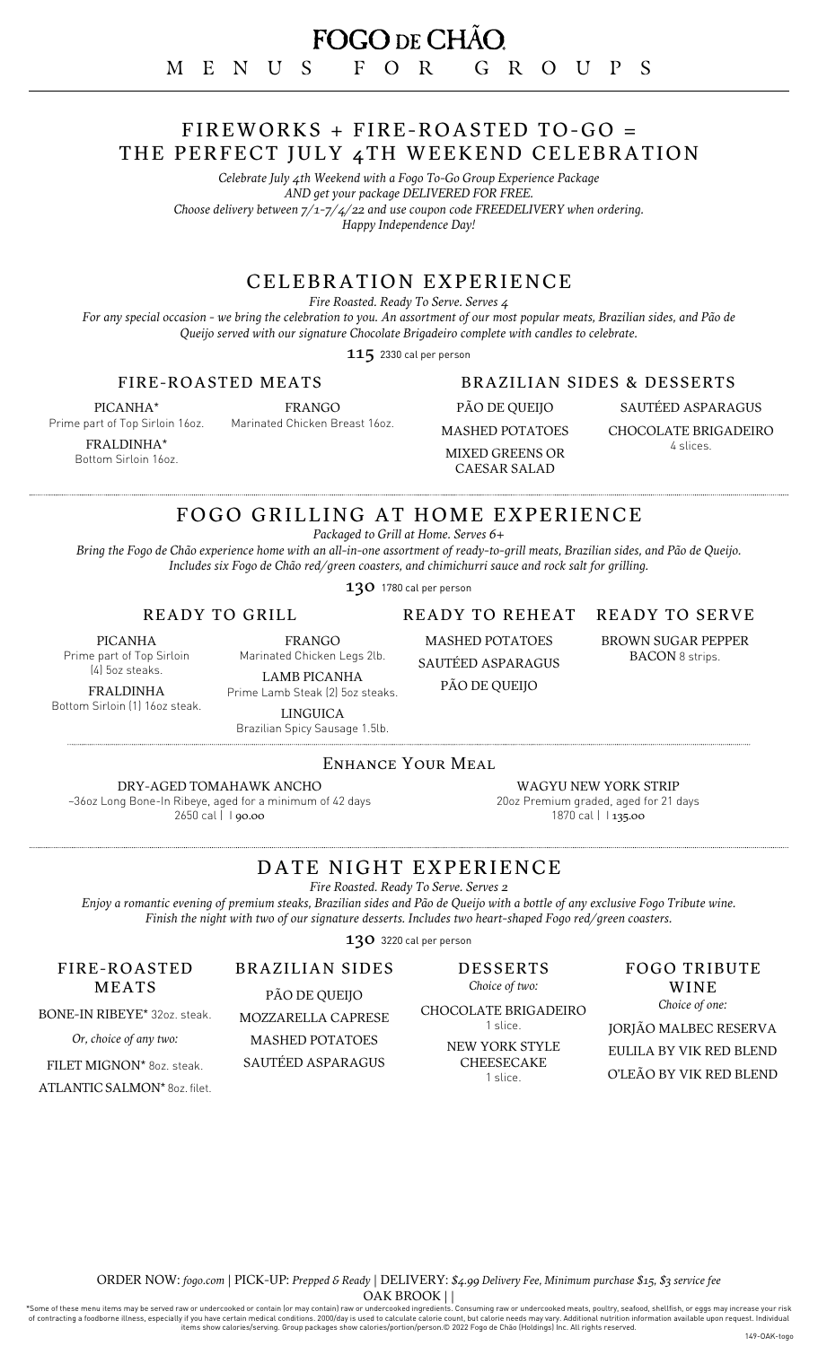## FIREWORKS + FIRE-ROASTED TO-GO = THE PERFECT JULY 4TH WEEKEND CELEBRATION

*Celebrate July 4th Weekend with a Fogo To-Go Group Experience Package AND get your package DELIVERED FOR FREE. Choose delivery between 7/1-7/4/22 and use coupon code FREEDELIVERY when ordering. Happy Independence Day!*

## CELEBRATION EXPERIENCE

*Fire Roasted. Ready To Serve. Serves 4*

For any special occasion - we bring the celebration to you. An assortment of our most popular meats, Brazilian sides, and Pão de *Queijo served with our signature Chocolate Brigadeiro complete with candles to celebrate.*

115 2330 cal per person

### FIRE-ROASTED MEATS

PICANHA\* Prime part of Top Sirloin 16oz.

Marinated Chicken Breast 16oz.

FRALDINHA\* Bottom Sirloin 16oz. FRANGO

## BRAZILIAN SIDES & DESSERTS

PÃO DE QUEIJO MASHED POTATOES MIXED GREENS OR CAESAR SALAD

SAUTÉED ASPARAGUS CHOCOLATE BRIGADEIRO 4 slices.

## FOGO GRILLING AT HOME EXPERIENCE

*Packaged to Grill at Home. Serves 6+*

Bring the Fogo de Chão experience home with an all-in-one assortment of ready-to-grill meats, Brazilian sides, and Pão de Queijo. *Includes six Fogo de Chão red/green coasters, and chimichurri sauce and rock salt for grilling.*

130 1780 cal per person

READY TO GRILL

PICANHA Prime part of Top Sirloin

(4) 5oz steaks.

FRALDINHA Bottom Sirloin (1) 16oz steak.

LAMB PICANHA Prime Lamb Steak (2) 5oz steaks. LINGUICA

BRAZILIAN SIDES PÃO DE QUEIJO MOZZARELLA CAPRESE

FRANGO Marinated Chicken Legs 2lb.

SAUTÉED ASPARAGUS

## READY TO SERVE

BROWN SUGAR PEPPER BACON 8 strips.

Brazilian Spicy Sausage 1.5lb.

### ENHANCE YOUR MEAL

DRY-AGED TOMAHAWK ANCHO

~36oz Long Bone-In Ribeye, aged for a minimum of 42 days 2650 cal | 1 90.00

WAGYU NEW YORK STRIP 20oz Premium graded, aged for 21 days 1870 cal | 135.00

## DATE NIGHT EXPERIENCE

*Fire Roasted. Ready To Serve. Serves 2*

Enjoy a romantic evening of premium steaks, Brazilian sides and Pão de Queijo with a bottle of any exclusive Fogo Tribute wine. *Finish the night with two of our signature desserts. Includes two heart-shaped Fogo red/green coasters.*

130 3220 cal per person

DESSERTS *Choice of two:*

CHOCOLATE BRIGADEIRO 1 slice.

> NEW YORK STYLE CHEESECAKE 1 slice.

#### FOGO TRIBUTE WINE *Choice of one:*

JORJÃO MALBEC RESERVA EULILA BY VIK RED BLEND O'LEÃO BY VIK RED BLEND

FILET MIGNON\* 8oz. steak. MASHED POTATOES SAUTÉED ASPARAGUS

ATLANTIC SALMON\* 8oz. filet.

FIRE-ROASTED MEATS BONE-IN RIBEYE\* 32oz. steak. *Or, choice of any two:*

> ORDER NOW: *[fogo.com](https://fogodechao.com/catering)* | PICK-UP: *Prepped & Ready* | DELIVERY: *\$4.99 Delivery Fee, Minimum purchase \$15, \$3 service fee* OAK BROOK | |

Some of these menu items may be served raw or undercooked or contain [or may contain] raw or undercooked ingredients. Consuming raw or undercooked meats, poultry, seafood, shellfish, or eggs may increase your risk of contr

READY TO REHEAT

MASHED POTATOES

PÃO DE QUEIJO